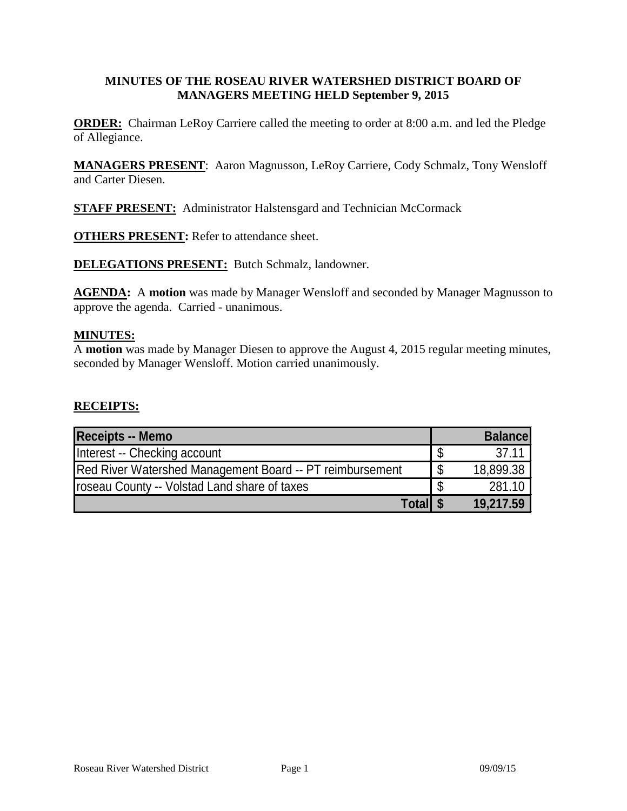# **MINUTES OF THE ROSEAU RIVER WATERSHED DISTRICT BOARD OF MANAGERS MEETING HELD September 9, 2015**

**ORDER:** Chairman LeRoy Carriere called the meeting to order at 8:00 a.m. and led the Pledge of Allegiance.

**MANAGERS PRESENT**: Aaron Magnusson, LeRoy Carriere, Cody Schmalz, Tony Wensloff and Carter Diesen.

**STAFF PRESENT:** Administrator Halstensgard and Technician McCormack

**OTHERS PRESENT:** Refer to attendance sheet.

**DELEGATIONS PRESENT:** Butch Schmalz, landowner.

**AGENDA:** A **motion** was made by Manager Wensloff and seconded by Manager Magnusson to approve the agenda. Carried - unanimous.

### **MINUTES:**

A **motion** was made by Manager Diesen to approve the August 4, 2015 regular meeting minutes, seconded by Manager Wensloff. Motion carried unanimously.

## **RECEIPTS:**

| <b>Receipts -- Memo</b>                                  | <b>Balance</b> |
|----------------------------------------------------------|----------------|
| Interest -- Checking account                             | 37.11          |
| Red River Watershed Management Board -- PT reimbursement | 18,899.38      |
| roseau County -- Volstad Land share of taxes             | 281.10         |
| Totall \$                                                | 19,217.59      |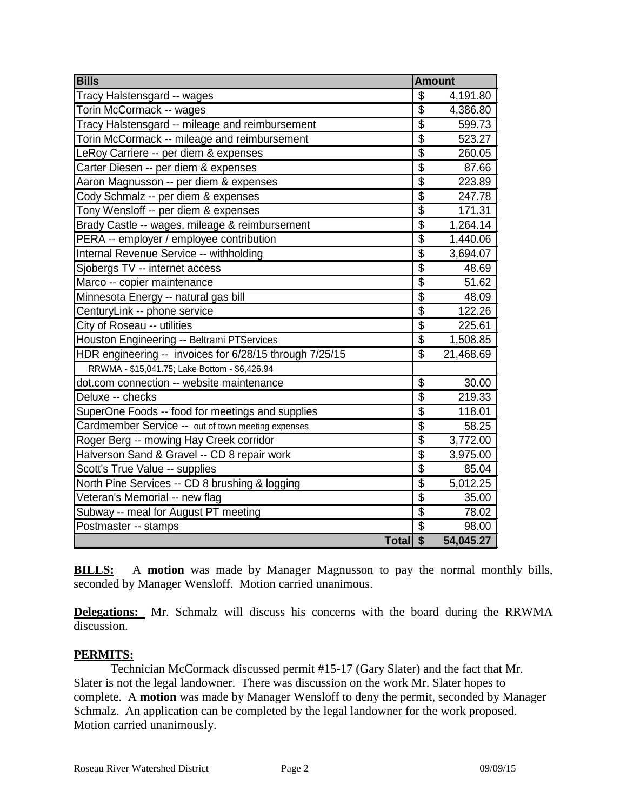| <b>Bills</b>                                            | <b>Amount</b>           |           |
|---------------------------------------------------------|-------------------------|-----------|
| Tracy Halstensgard -- wages                             | \$                      | 4,191.80  |
| Torin McCormack -- wages                                | \$                      | 4,386.80  |
| Tracy Halstensgard -- mileage and reimbursement         | $\overline{\$}$         | 599.73    |
| Torin McCormack -- mileage and reimbursement            | $\overline{\$}$         | 523.27    |
| LeRoy Carriere -- per diem & expenses                   | $\overline{\$}$         | 260.05    |
| Carter Diesen -- per diem & expenses                    | $\overline{\$}$         | 87.66     |
| Aaron Magnusson -- per diem & expenses                  | $\overline{\$}$         | 223.89    |
| Cody Schmalz -- per diem & expenses                     | $\overline{\$}$         | 247.78    |
| Tony Wensloff -- per diem & expenses                    | $\overline{\$}$         | 171.31    |
| Brady Castle -- wages, mileage & reimbursement          | $\overline{\$}$         | 1,264.14  |
| PERA -- employer / employee contribution                | $\overline{\$}$         | 1,440.06  |
| Internal Revenue Service -- withholding                 | $\overline{\$}$         | 3,694.07  |
| Sjobergs TV -- internet access                          | $\overline{\$}$         | 48.69     |
| Marco -- copier maintenance                             | $\overline{\$}$         | 51.62     |
| Minnesota Energy -- natural gas bill                    | $\overline{\$}$         | 48.09     |
| CenturyLink -- phone service                            | $\overline{\$}$         | 122.26    |
| City of Roseau -- utilities                             | $\overline{\$}$         | 225.61    |
| Houston Engineering -- Beltrami PTServices              | \$                      | 1,508.85  |
| HDR engineering -- invoices for 6/28/15 through 7/25/15 | $\overline{\mathbb{S}}$ | 21,468.69 |
| RRWMA - \$15,041.75; Lake Bottom - \$6,426.94           |                         |           |
| dot.com connection -- website maintenance               | $\overline{\$}$         | 30.00     |
| Deluxe -- checks                                        | $\overline{\$}$         | 219.33    |
| SuperOne Foods -- food for meetings and supplies        | $\overline{\$}$         | 118.01    |
| Cardmember Service -- out of town meeting expenses      | $\overline{\$}$         | 58.25     |
| Roger Berg -- mowing Hay Creek corridor                 | $\overline{\$}$         | 3,772.00  |
| Halverson Sand & Gravel -- CD 8 repair work             | \$                      | 3,975.00  |
| Scott's True Value -- supplies                          | $\overline{\$}$         | 85.04     |
| North Pine Services -- CD 8 brushing & logging          | $\overline{\$}$         | 5,012.25  |
| Veteran's Memorial -- new flag                          | $\overline{\$}$         | 35.00     |
| Subway -- meal for August PT meeting                    | $\overline{\$}$         | 78.02     |
| Postmaster -- stamps                                    | $\overline{\$}$         | 98.00     |
| Total <sup>S</sup>                                      |                         | 54,045.27 |

**BILLS:** A **motion** was made by Manager Magnusson to pay the normal monthly bills, seconded by Manager Wensloff. Motion carried unanimous.

**Delegations:** Mr. Schmalz will discuss his concerns with the board during the RRWMA discussion.

## **PERMITS:**

Technician McCormack discussed permit #15-17 (Gary Slater) and the fact that Mr. Slater is not the legal landowner. There was discussion on the work Mr. Slater hopes to complete. A **motion** was made by Manager Wensloff to deny the permit, seconded by Manager Schmalz. An application can be completed by the legal landowner for the work proposed. Motion carried unanimously.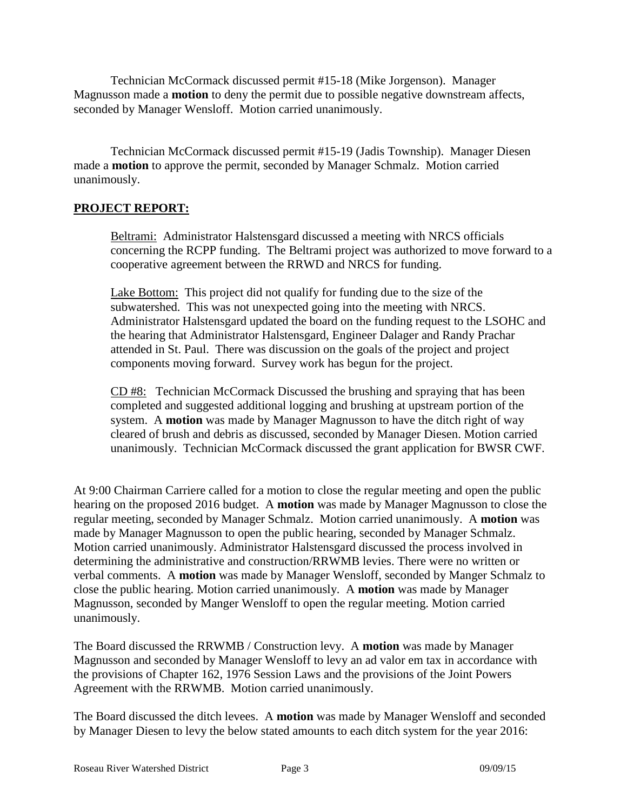Technician McCormack discussed permit #15-18 (Mike Jorgenson). Manager Magnusson made a **motion** to deny the permit due to possible negative downstream affects, seconded by Manager Wensloff. Motion carried unanimously.

Technician McCormack discussed permit #15-19 (Jadis Township). Manager Diesen made a **motion** to approve the permit, seconded by Manager Schmalz. Motion carried unanimously.

# **PROJECT REPORT:**

Beltrami: Administrator Halstensgard discussed a meeting with NRCS officials concerning the RCPP funding. The Beltrami project was authorized to move forward to a cooperative agreement between the RRWD and NRCS for funding.

Lake Bottom: This project did not qualify for funding due to the size of the subwatershed. This was not unexpected going into the meeting with NRCS. Administrator Halstensgard updated the board on the funding request to the LSOHC and the hearing that Administrator Halstensgard, Engineer Dalager and Randy Prachar attended in St. Paul. There was discussion on the goals of the project and project components moving forward. Survey work has begun for the project.

CD #8: Technician McCormack Discussed the brushing and spraying that has been completed and suggested additional logging and brushing at upstream portion of the system. A **motion** was made by Manager Magnusson to have the ditch right of way cleared of brush and debris as discussed, seconded by Manager Diesen. Motion carried unanimously. Technician McCormack discussed the grant application for BWSR CWF.

At 9:00 Chairman Carriere called for a motion to close the regular meeting and open the public hearing on the proposed 2016 budget. A **motion** was made by Manager Magnusson to close the regular meeting, seconded by Manager Schmalz. Motion carried unanimously. A **motion** was made by Manager Magnusson to open the public hearing, seconded by Manager Schmalz. Motion carried unanimously. Administrator Halstensgard discussed the process involved in determining the administrative and construction/RRWMB levies. There were no written or verbal comments. A **motion** was made by Manager Wensloff, seconded by Manger Schmalz to close the public hearing. Motion carried unanimously. A **motion** was made by Manager Magnusson, seconded by Manger Wensloff to open the regular meeting. Motion carried unanimously.

The Board discussed the RRWMB / Construction levy. A **motion** was made by Manager Magnusson and seconded by Manager Wensloff to levy an ad valor em tax in accordance with the provisions of Chapter 162, 1976 Session Laws and the provisions of the Joint Powers Agreement with the RRWMB. Motion carried unanimously.

The Board discussed the ditch levees. A **motion** was made by Manager Wensloff and seconded by Manager Diesen to levy the below stated amounts to each ditch system for the year 2016: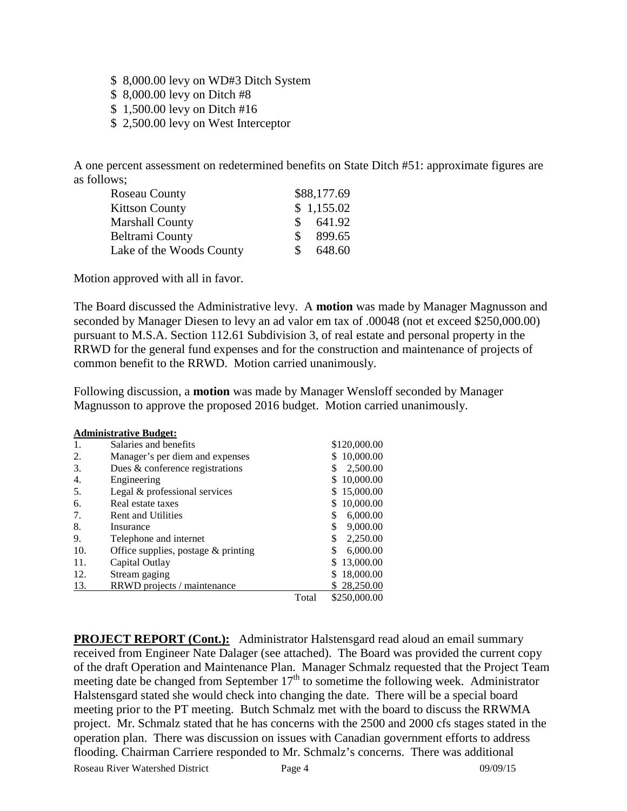- \$ 8,000.00 levy on WD#3 Ditch System
- \$ 8,000.00 levy on Ditch #8
- \$ 1,500.00 levy on Ditch #16
- \$ 2,500.00 levy on West Interceptor

A one percent assessment on redetermined benefits on State Ditch #51: approximate figures are as follows;

| Roseau County            |          | \$88,177.69 |
|--------------------------|----------|-------------|
| <b>Kittson County</b>    |          | \$1,155.02  |
| Marshall County          | SS.      | 641.92      |
| Beltrami County          | <b>S</b> | 899.65      |
| Lake of the Woods County | S.       | 648.60      |

Motion approved with all in favor.

The Board discussed the Administrative levy. A **motion** was made by Manager Magnusson and seconded by Manager Diesen to levy an ad valor em tax of .00048 (not et exceed \$250,000.00) pursuant to M.S.A. Section 112.61 Subdivision 3, of real estate and personal property in the RRWD for the general fund expenses and for the construction and maintenance of projects of common benefit to the RRWD. Motion carried unanimously.

Following discussion, a **motion** was made by Manager Wensloff seconded by Manager Magnusson to approve the proposed 2016 budget. Motion carried unanimously.

|     | <b>Administrative Budget:</b>       |       |                |
|-----|-------------------------------------|-------|----------------|
| -1. | Salaries and benefits               |       | \$120,000.00   |
| 2.  | Manager's per diem and expenses     |       | 10,000.00      |
| 3.  | Dues & conference registrations     |       | 2,500.00<br>\$ |
| 4.  | Engineering                         |       | 10,000.00      |
| 5.  | Legal & professional services       |       | 15,000.00      |
| 6.  | Real estate taxes                   |       | 10,000.00      |
| 7.  | Rent and Utilities                  |       | 6,000.00<br>\$ |
| 8.  | Insurance                           |       | \$<br>9,000.00 |
| 9.  | Telephone and internet              |       | \$<br>2,250.00 |
| 10. | Office supplies, postage & printing |       | 6,000.00<br>\$ |
| 11. | Capital Outlay                      |       | 13,000.00      |
| 12. | Stream gaging                       |       | 18,000.00      |
| 13. | RRWD projects / maintenance         |       | 28,250.00      |
|     |                                     | Total | \$250,000.00   |

**PROJECT REPORT** (Cont.): Administrator Halstensgard read aloud an email summary received from Engineer Nate Dalager (see attached). The Board was provided the current copy of the draft Operation and Maintenance Plan. Manager Schmalz requested that the Project Team meeting date be changed from September  $17<sup>th</sup>$  to sometime the following week. Administrator Halstensgard stated she would check into changing the date. There will be a special board meeting prior to the PT meeting. Butch Schmalz met with the board to discuss the RRWMA project. Mr. Schmalz stated that he has concerns with the 2500 and 2000 cfs stages stated in the operation plan. There was discussion on issues with Canadian government efforts to address flooding. Chairman Carriere responded to Mr. Schmalz's concerns. There was additional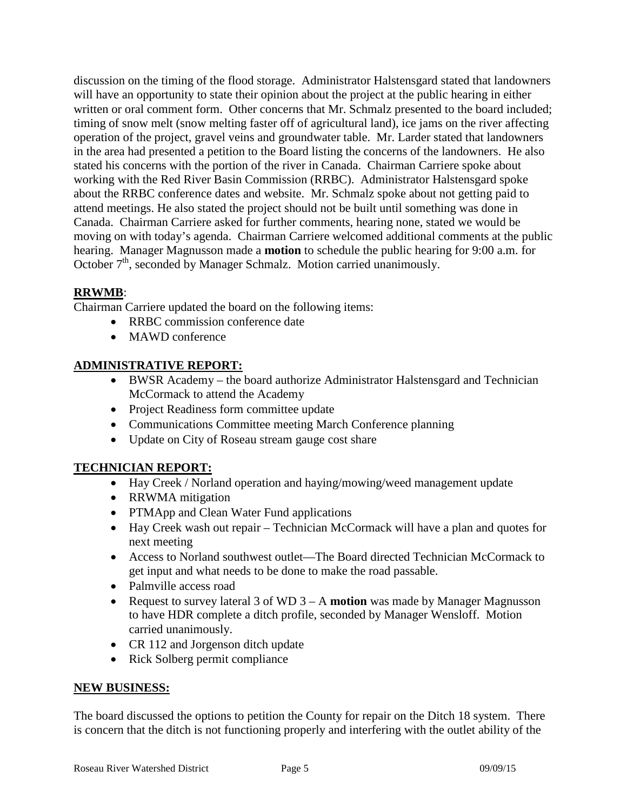discussion on the timing of the flood storage. Administrator Halstensgard stated that landowners will have an opportunity to state their opinion about the project at the public hearing in either written or oral comment form. Other concerns that Mr. Schmalz presented to the board included; timing of snow melt (snow melting faster off of agricultural land), ice jams on the river affecting operation of the project, gravel veins and groundwater table. Mr. Larder stated that landowners in the area had presented a petition to the Board listing the concerns of the landowners. He also stated his concerns with the portion of the river in Canada. Chairman Carriere spoke about working with the Red River Basin Commission (RRBC). Administrator Halstensgard spoke about the RRBC conference dates and website. Mr. Schmalz spoke about not getting paid to attend meetings. He also stated the project should not be built until something was done in Canada. Chairman Carriere asked for further comments, hearing none, stated we would be moving on with today's agenda. Chairman Carriere welcomed additional comments at the public hearing. Manager Magnusson made a **motion** to schedule the public hearing for 9:00 a.m. for October  $7<sup>th</sup>$ , seconded by Manager Schmalz. Motion carried unanimously.

# **RRWMB**:

Chairman Carriere updated the board on the following items:

- RRBC commission conference date
- MAWD conference

# **ADMINISTRATIVE REPORT:**

- BWSR Academy the board authorize Administrator Halstensgard and Technician McCormack to attend the Academy
- Project Readiness form committee update
- Communications Committee meeting March Conference planning
- Update on City of Roseau stream gauge cost share

# **TECHNICIAN REPORT:**

- Hay Creek / Norland operation and haying/mowing/weed management update
- RRWMA mitigation
- PTMApp and Clean Water Fund applications
- Hay Creek wash out repair Technician McCormack will have a plan and quotes for next meeting
- Access to Norland southwest outlet—The Board directed Technician McCormack to get input and what needs to be done to make the road passable.
- Palmville access road
- Request to survey lateral 3 of WD 3 A **motion** was made by Manager Magnusson to have HDR complete a ditch profile, seconded by Manager Wensloff. Motion carried unanimously.
- CR 112 and Jorgenson ditch update
- Rick Solberg permit compliance

# **NEW BUSINESS:**

The board discussed the options to petition the County for repair on the Ditch 18 system. There is concern that the ditch is not functioning properly and interfering with the outlet ability of the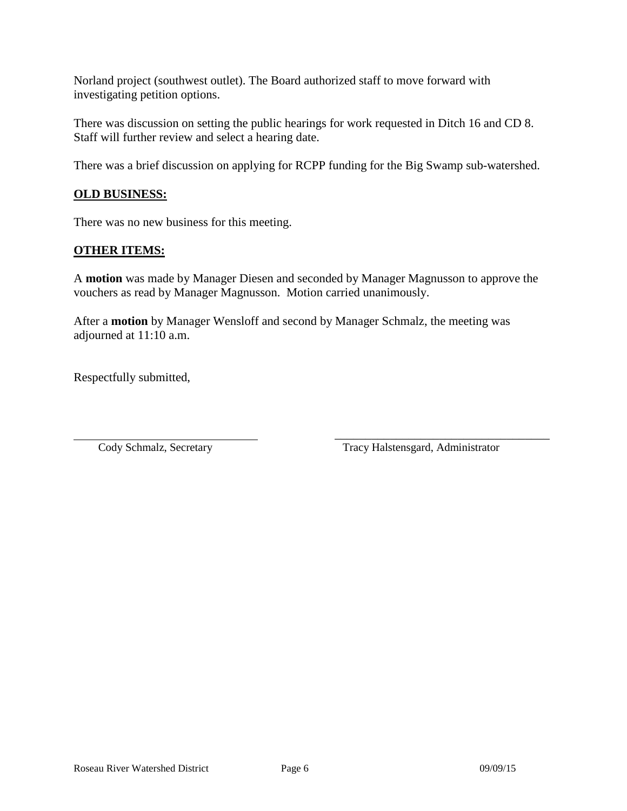Norland project (southwest outlet). The Board authorized staff to move forward with investigating petition options.

There was discussion on setting the public hearings for work requested in Ditch 16 and CD 8. Staff will further review and select a hearing date.

There was a brief discussion on applying for RCPP funding for the Big Swamp sub-watershed.

# **OLD BUSINESS:**

There was no new business for this meeting.

## **OTHER ITEMS:**

A **motion** was made by Manager Diesen and seconded by Manager Magnusson to approve the vouchers as read by Manager Magnusson. Motion carried unanimously.

After a **motion** by Manager Wensloff and second by Manager Schmalz, the meeting was adjourned at 11:10 a.m.

Respectfully submitted,

Cody Schmalz, Secretary Tracy Halstensgard, Administrator

\_\_\_\_\_\_\_\_\_\_\_\_\_\_\_\_\_\_\_\_\_\_\_\_\_\_\_\_\_\_\_\_\_\_\_